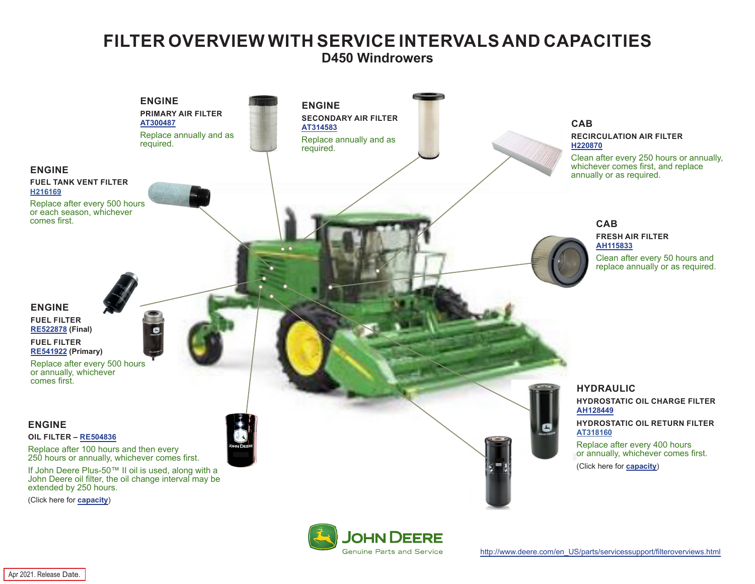## **FILTER OVERVIEW WITH SERVICE INTERVALS AND CAPACITIES D450 Windrowers**

<span id="page-0-0"></span>